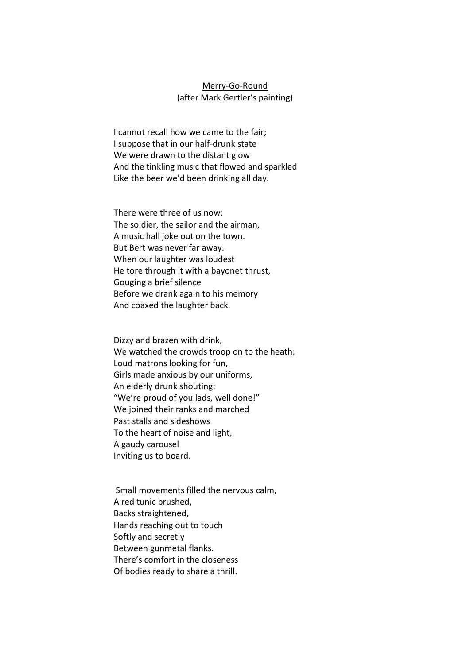## Merry-Go-Round (after Mark Gertler's painting)

I cannot recall how we came to the fair; I suppose that in our half-drunk state We were drawn to the distant glow And the tinkling music that flowed and sparkled Like the beer we'd been drinking all day.

There were three of us now: The soldier, the sailor and the airman, A music hall joke out on the town. But Bert was never far away. When our laughter was loudest He tore through it with a bayonet thrust, Gouging a brief silence Before we drank again to his memory And coaxed the laughter back.

Dizzy and brazen with drink, We watched the crowds troop on to the heath: Loud matrons looking for fun, Girls made anxious by our uniforms, An elderly drunk shouting: "We're proud of you lads, well done!" We joined their ranks and marched Past stalls and sideshows To the heart of noise and light, A gaudy carousel Inviting us to board.

Small movements filled the nervous calm, A red tunic brushed, Backs straightened, Hands reaching out to touch Softly and secretly Between gunmetal flanks. There's comfort in the closeness Of bodies ready to share a thrill.